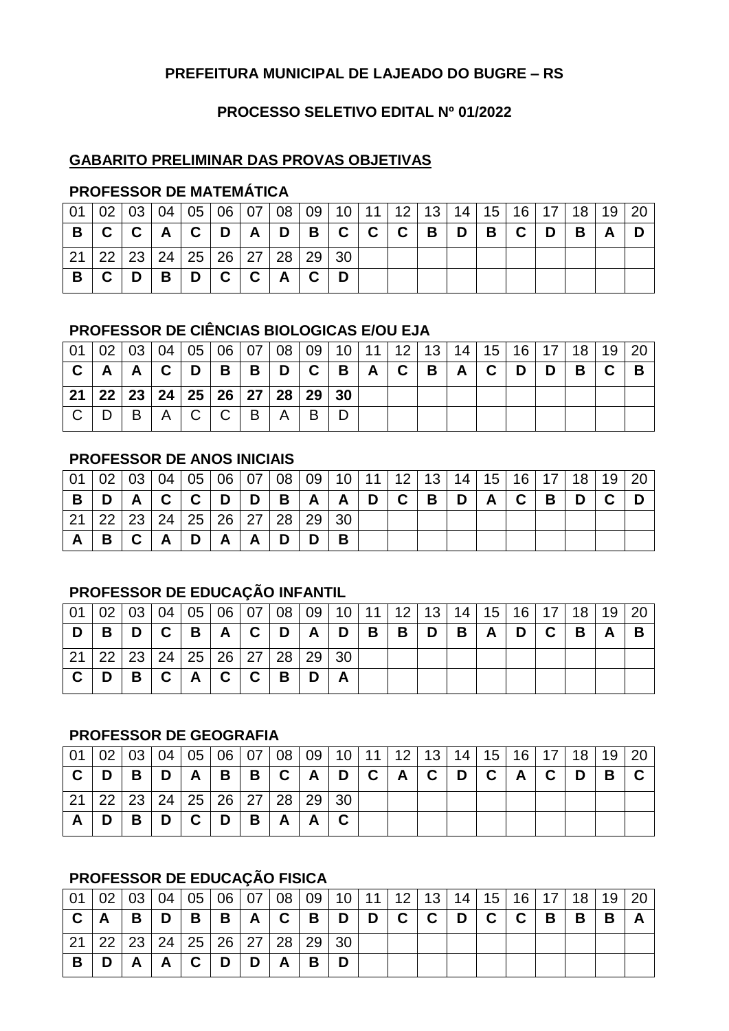#### **PREFEITURA MUNICIPAL DE LAJEADO DO BUGRE – RS**

#### **PROCESSO SELETIVO EDITAL Nº 01/2022**

#### **GABARITO PRELIMINAR DAS PROVAS OBJETIVAS**

## **PROFESSOR DE MATEMÁTICA**

|    |   |          |               |             |             |              | 01   02   03   04   05   06   07   08   09   10   11   12   13   14   15   16   17   18   19   20 |  |  |                |                                                      |       |   |              |  |
|----|---|----------|---------------|-------------|-------------|--------------|---------------------------------------------------------------------------------------------------|--|--|----------------|------------------------------------------------------|-------|---|--------------|--|
| B. |   |          | C   C   A   C | D           |             |              | $A$   D   B   C   C   C   B                                                                       |  |  | $\blacksquare$ | $\mathbf{H}$ is the $\mathbf{B}$ in the $\mathbf{B}$ | C   D | B | $\mathsf{A}$ |  |
|    |   |          |               |             |             |              | 22 23 24 25 26 27 28 29 30                                                                        |  |  |                |                                                      |       |   |              |  |
|    | D | <b>B</b> | , D           | $\mathbf C$ | $\mathbf C$ | $\mathbf{A}$ |                                                                                                   |  |  |                |                                                      |       |   |              |  |

## **PROFESSOR DE CIÊNCIAS BIOLOGICAS E/OU EJA**

|     |                                            |                |              |                   |                |                |              |       |  |     |   |                |             |   |   |                | 01   02   03   04   05   06   07   08   09   10   11   12   13   14   15   16   17   18   19   20 |
|-----|--------------------------------------------|----------------|--------------|-------------------|----------------|----------------|--------------|-------|--|-----|---|----------------|-------------|---|---|----------------|---------------------------------------------------------------------------------------------------|
|     | $\mathsf{A}$                               | $\overline{A}$ | $\mathbf{C}$ | $\vert$ D $\vert$ | $\overline{B}$ | $\overline{B}$ |              | D C B |  | A C | B | $\overline{A}$ | $\mathbf C$ | D | D | $\overline{B}$ |                                                                                                   |
| -21 | 22   23   24   25   26   27   28   29   30 |                |              |                   |                |                |              |       |  |     |   |                |             |   |   |                |                                                                                                   |
|     |                                            | <b>B</b>       | $\mathsf{A}$ | $\Box$ C $\Box$   | $\mathsf{C}$   | B              | $\mathsf{A}$ | B     |  |     |   |                |             |   |   |                |                                                                                                   |

#### **PROFESSOR DE ANOS INICIAIS**

| 01   02   03   04   05   06   07   08   09   10   11   12   13   14   15   16   17   18   19   20 |              |              |               |              |                |          |            |                |              |   |   |              |              |   |   |  |
|---------------------------------------------------------------------------------------------------|--------------|--------------|---------------|--------------|----------------|----------|------------|----------------|--------------|---|---|--------------|--------------|---|---|--|
|                                                                                                   | $\mathsf{A}$ |              | C   C   D   D |              |                | <b>B</b> | $A \mid A$ | $\overline{D}$ | $\mathbf{C}$ | B | D | $\mathbf{A}$ | $\mathbf{C}$ | B | D |  |
| 22   23   24   25   26   27   28   29   30                                                        |              |              |               |              |                |          |            |                |              |   |   |              |              |   |   |  |
| B.                                                                                                |              | $\mathsf{A}$ | D             | $\mathsf{A}$ | $\overline{A}$ | D        |            |                |              |   |   |              |              |   |   |  |

# **PROFESSOR DE EDUCAÇÃO INFANTIL**

|    |   |                |             |     |              |   | 「01   02   03   04   05   06   07   08   09   10   11   12   13   14   15   16   17   18   19   20 |  |   |                |   |          |   |       |                   |   |
|----|---|----------------|-------------|-----|--------------|---|----------------------------------------------------------------------------------------------------|--|---|----------------|---|----------|---|-------|-------------------|---|
| D. | B | $\blacksquare$ |             |     |              |   | $ C B A C D A D B $                                                                                |  | B | $\overline{D}$ | B | $A \mid$ | D | C   B | $^{\mathsf{I}}$ A | в |
|    |   |                |             |     |              |   | 21   22   23   24   25   26   27   28   29   30                                                    |  |   |                |   |          |   |       |                   |   |
|    | D | B              | $\mathbf C$ | A C | $\mathbf{C}$ | B | D                                                                                                  |  |   |                |   |          |   |       |                   |   |

## **PROFESSOR DE GEOGRAFIA**

|    |     |                |      |            |   |                                            |   |                           |  |              |     | 01   02   03   04   05   06   07   08   09   10   11   12   13   14   15   16   17   18   19   20 |   |  |
|----|-----|----------------|------|------------|---|--------------------------------------------|---|---------------------------|--|--------------|-----|---------------------------------------------------------------------------------------------------|---|--|
| D. | ⊪ B | i Di           | A I  | $B \mid B$ |   |                                            |   | C   A   D   C   A   C   D |  | $\mathbf{C}$ | ACD |                                                                                                   | B |  |
|    |     |                |      |            |   | 22   23   24   25   26   27   28   29   30 |   |                           |  |              |     |                                                                                                   |   |  |
|    | B.  | $\blacksquare$ | ∣C ∶ | D          | B | $\mathsf{A}$                               | A |                           |  |              |     |                                                                                                   |   |  |

# **PROFESSOR DE EDUCAÇÃO FISICA**

|   |     |              |             |   |   |              | 02   03   04   05   06   07   08   09   10   11   12   13   14   15   16   17   18   19   20 |  |       |  |     |   |   |   |  |
|---|-----|--------------|-------------|---|---|--------------|----------------------------------------------------------------------------------------------|--|-------|--|-----|---|---|---|--|
| A | IB. | D            | <b>B</b>    |   |   |              | B   A   C   B   D   D                                                                        |  | C C D |  | C C | B | B | B |  |
|   |     |              |             |   |   |              | 22   23   24   25   26   27   28   29   30                                                   |  |       |  |     |   |   |   |  |
|   | A   | $\mathbf{A}$ | $\mathbf C$ | D | D | $\mathsf{A}$ | B.                                                                                           |  |       |  |     |   |   |   |  |